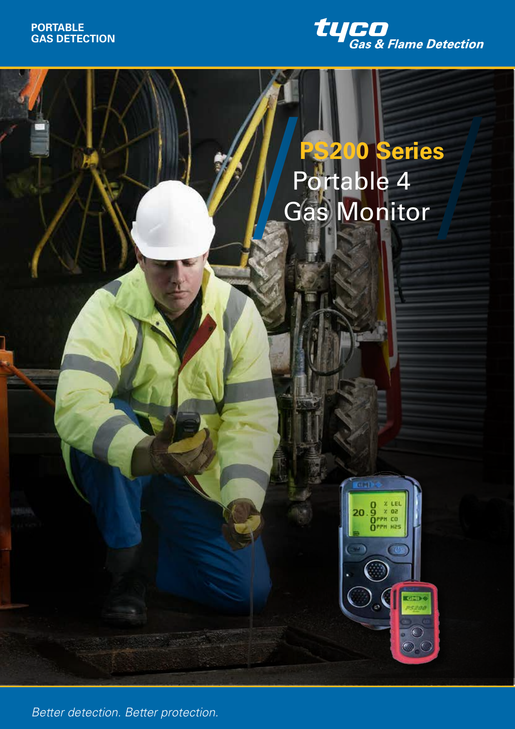

# **PS200 Series** Portable 4 Gas Monitor



*Better Detection. Better Protection Better detection. Better protection.*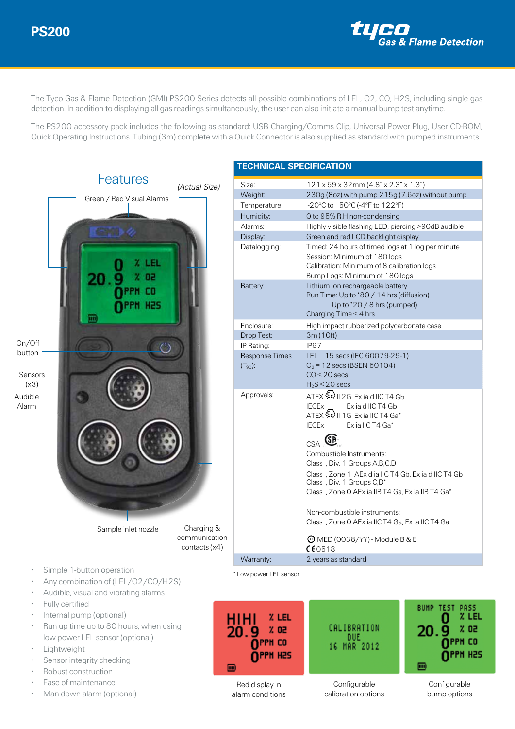

The Tyco Gas & Flame Detection (GMI) PS200 Series detects all possible combinations of LEL, O2, CO, H2S, including single gas detection. In addition to displaying all gas readings simultaneously, the user can also initiate a manual bump test anytime.

The PS200 accessory pack includes the following as standard: USB Charging/Comms Clip, Universal Power Plug, User CD-ROM, Quick Operating Instructions. Tubing (3m) complete with a Quick Connector is also supplied as standard with pumped instruments.



- **Lightweight**
- Sensor integrity checking
- Robust construction
- Ease of maintenance
- Man down alarm (optional)

| <b>TECHNICAL SPECIFICATION</b>        |                                                                                                                                                                                                                                                                                                                                 |
|---------------------------------------|---------------------------------------------------------------------------------------------------------------------------------------------------------------------------------------------------------------------------------------------------------------------------------------------------------------------------------|
| Size:<br>Weight:<br>Temperature:      | $121 \times 59 \times 32$ mm (4.8" x 2.3" x 1.3")<br>230g (8oz) with pump 215g (7.6oz) without pump<br>-20°C to +50°C (-4°F to 122°F)                                                                                                                                                                                           |
| Humidity:                             | O to 95% R.H non-condensing                                                                                                                                                                                                                                                                                                     |
| Alarms:                               | Highly visible flashing LED, piercing >90dB audible                                                                                                                                                                                                                                                                             |
| Display:                              | Green and red LCD backlight display                                                                                                                                                                                                                                                                                             |
| Datalogging:                          | Timed: 24 hours of timed logs at 1 log per minute<br>Session: Minimum of 180 logs<br>Calibration: Minimum of 8 calibration logs<br>Bump Logs: Minimum of 180 logs                                                                                                                                                               |
| Battery:                              | Lithium Ion rechargeable battery<br>Run Time: Up to *80 / 14 hrs (diffusion)<br>Up to *20 / 8 hrs (pumped)<br>Charging Time < 4 hrs                                                                                                                                                                                             |
| Enclosure:                            | High impact rubberized polycarbonate case                                                                                                                                                                                                                                                                                       |
| Drop Test:                            | 3m (10ft)                                                                                                                                                                                                                                                                                                                       |
| IP Rating:                            | IP <sub>67</sub>                                                                                                                                                                                                                                                                                                                |
| <b>Response Times</b><br>$(T_{90})$ : | LEL = 15 secs (IEC 60079-29-1)<br>$O_2$ = 12 secs (BSEN 50104)<br>$CO < 20$ secs<br>$H_2S < 20$ secs                                                                                                                                                                                                                            |
| Approvals:                            | $ATEX \&$ II 2G Exia d IIC T4 Gb<br><b>IECE<sub>X</sub></b><br>Exia d IIC T4 Gb<br>ATEX $\mathbb{Z}$ II 1G Ex ia IIC T4 Ga*<br>Ex ia IIC T4 Ga*<br><b>IECE<sub>X</sub></b>                                                                                                                                                      |
|                                       | $\mathbb{C}_{\mathsf{S}\mathsf{A}}\mathsf{S}\mathbf{B}_{\mathsf{S}}$<br>Combustible Instruments:<br>Class I, Div. 1 Groups A, B, C, D<br>Class I, Zone 1 AEx d ia IIC T4 Gb, Ex ia d IIC T4 Gb<br>Class I, Div. 1 Groups C,D <sup>*</sup><br>Class I, Zone O AEx ia IIB T4 Ga, Ex ia IIB T4 Ga*<br>Non-combustible instruments: |
|                                       | Class I, Zone O AEx ia IIC T4 Ga, Ex ia IIC T4 Ga<br>$\odot$ MED (0038/YY) - Module B & E                                                                                                                                                                                                                                       |
|                                       | C60518                                                                                                                                                                                                                                                                                                                          |
| Warranty:                             | 2 vears as standard                                                                                                                                                                                                                                                                                                             |



|                              | BUMP |
|------------------------------|------|
| .IBRATION<br>DUE<br>MAR 2012 | 20.  |
|                              |      |

Red display in alarm conditions

Configurable calibration options

Configurable bump options

**TEST** 

О

c

PASS

% LEL

 $x$  oz

npph co

OPPN H2S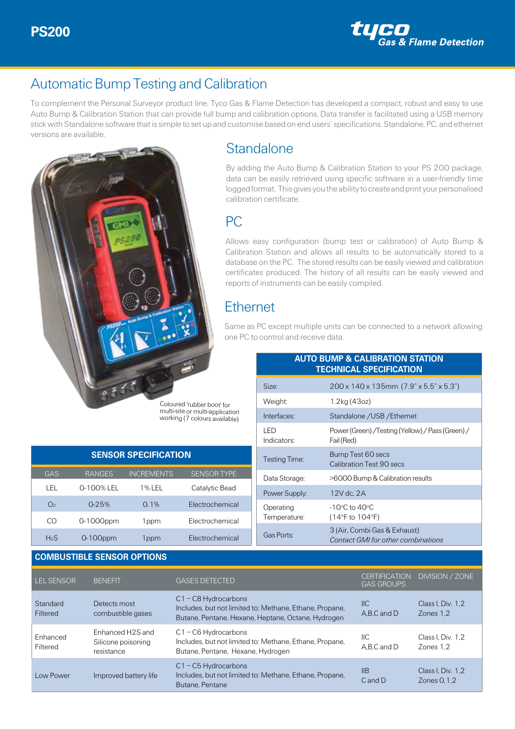

## Automatic Bump Testing and Calibration

To complement the Personal Surveyor product line, Tyco Gas & Flame Detection has developed a compact, robust and easy to use Auto Bump & Calibration Station that can provide full bump and calibration options. Data transfer is facilitated using a USB memory stick with Standalone software that is simple to set up and customise based on end users' specifications. Standalone, PC, and ethernet versions are available.



#### **Standalone**

By adding the Auto Bump & Calibration Station to your PS 200 package, data can be easily retrieved using specific software in a user-friendly time logged format. This gives you the ability to create and print your personalised calibration certificate.

#### PC

working (7 colours available)

Allows easy configuration (bump test or calibration) of Auto Bump & Calibration Station and allows all results to be automatically stored to a database on the PC. The stored results can be easily viewed and calibration certificates produced. The history of all results can be easily viewed and reports of instruments can be easily compiled.

### **Ethernet**

Same as PC except multiple units can be connected to a network allowing one PC to control and receive data.

| <b>AUTO BUMP &amp; CALIBRATION STATION</b><br><b>TECHNICAL SPECIFICATION</b> |                                                                    |  |  |
|------------------------------------------------------------------------------|--------------------------------------------------------------------|--|--|
| Size:                                                                        | 200 x 140 x 135mm (7.9" x 5.5" x 5.3")                             |  |  |
| Weight:                                                                      | 1.2kg (43oz)                                                       |  |  |
| Interfaces:                                                                  | Standalone / USB / Ethernet                                        |  |  |
| LED.<br>Indicators:                                                          | Power (Green) / Testing (Yellow) / Pass (Green) /<br>Fail (Red)    |  |  |
| Testing Time:                                                                | Bump Test 60 secs<br>Calibration Test 90 secs                      |  |  |
| Data Storage:                                                                | >6000 Bump & Calibration results                                   |  |  |
| Power Supply:                                                                | 12V dc, 2A                                                         |  |  |
| Operating<br>Temperature:                                                    | $-10^{\circ}$ C to $40^{\circ}$ C<br>(14°F to 104°F)               |  |  |
| Gas Ports:                                                                   | 3 (Air, Combi Gas & Exhaust)<br>Contact GMI for other combinations |  |  |

|                |               | <b>SENSOR SPECIFICATION</b> |                   |
|----------------|---------------|-----------------------------|-------------------|
| GAS            | <b>RANGES</b> | <b>INCREMENTS</b>           | <b>SENSORTYPE</b> |
| I FL           | 0-100% FI     | 1% I FI                     | Catalytic Bead    |
| O <sub>2</sub> | $0 - 25%$     | $0.1\%$                     | Flectrochemical   |
| CO             | 0-1000ppm     | 1ppm                        | Flectrochemical   |
| $H_2S$         | $0-100$ ppm   | 1 ppm                       | Flectrochemical   |

#### **COMBUSTIBLE SENSOR OPTIONS**

| LEL SENSOR           | <b>BENEFIT</b>                                                   | <b>GASES DETECTED</b>                                                                                                                   | <b>GAS GROUPS</b>     | CERTIFICATION DIVISION / ZONE      |
|----------------------|------------------------------------------------------------------|-----------------------------------------------------------------------------------------------------------------------------------------|-----------------------|------------------------------------|
| Standard<br>Filtered | Detects most<br>combustible gases                                | $C1 - C8$ Hydrocarbons<br>Includes, but not limited to: Methane, Ethane, Propane,<br>Butane, Pentane, Hexane, Heptane, Octane, Hydrogen | $II$<br>A,B,C and D   | Class I, Div. 1,2<br>Zones 1.2     |
| Enhanced<br>Filtered | Enhanced H <sub>2S</sub> and<br>Silicone poisoning<br>resistance | $C1 - C6$ Hydrocarbons<br>Includes, but not limited to: Methane, Ethane, Propane,<br>Butane, Pentane, Hexane, Hydrogen                  | $II$ C<br>A.B.C and D | Class I. Div. 1.2<br>Zones 1.2     |
| Low Power            | Improved battery life                                            | $C1 - C5$ Hydrocarbons<br>Includes, but not limited to: Methane, Ethane, Propane,<br>Butane, Pentane                                    | IIB<br>$C$ and $D$    | Class I. Div. 1.2<br>Zones $0.1.2$ |